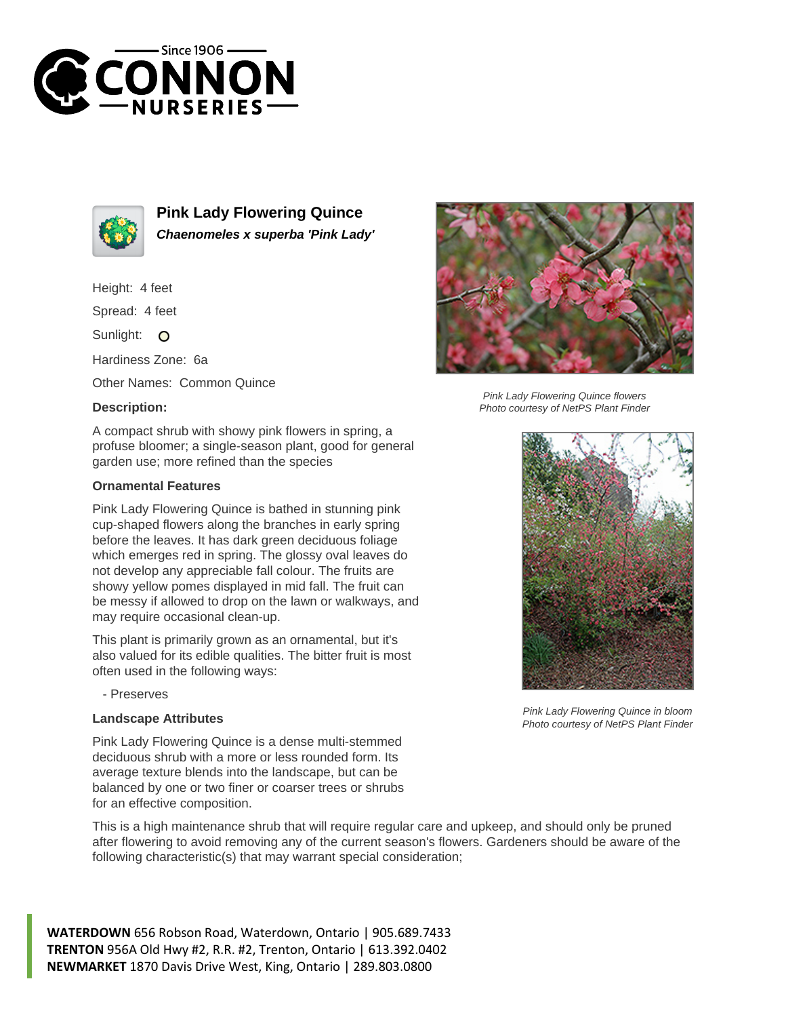



**Pink Lady Flowering Quince Chaenomeles x superba 'Pink Lady'**

Height: 4 feet

Spread: 4 feet

Sunlight: O

Hardiness Zone: 6a

Other Names: Common Quince

## **Description:**

A compact shrub with showy pink flowers in spring, a profuse bloomer; a single-season plant, good for general garden use; more refined than the species

## **Ornamental Features**

Pink Lady Flowering Quince is bathed in stunning pink cup-shaped flowers along the branches in early spring before the leaves. It has dark green deciduous foliage which emerges red in spring. The glossy oval leaves do not develop any appreciable fall colour. The fruits are showy yellow pomes displayed in mid fall. The fruit can be messy if allowed to drop on the lawn or walkways, and may require occasional clean-up.

This plant is primarily grown as an ornamental, but it's also valued for its edible qualities. The bitter fruit is most often used in the following ways:

- Preserves

## **Landscape Attributes**



Pink Lady Flowering Quince flowers Photo courtesy of NetPS Plant Finder



Pink Lady Flowering Quince in bloom Photo courtesy of NetPS Plant Finder

Pink Lady Flowering Quince is a dense multi-stemmed deciduous shrub with a more or less rounded form. Its average texture blends into the landscape, but can be balanced by one or two finer or coarser trees or shrubs for an effective composition.

This is a high maintenance shrub that will require regular care and upkeep, and should only be pruned after flowering to avoid removing any of the current season's flowers. Gardeners should be aware of the following characteristic(s) that may warrant special consideration;

**WATERDOWN** 656 Robson Road, Waterdown, Ontario | 905.689.7433 **TRENTON** 956A Old Hwy #2, R.R. #2, Trenton, Ontario | 613.392.0402 **NEWMARKET** 1870 Davis Drive West, King, Ontario | 289.803.0800